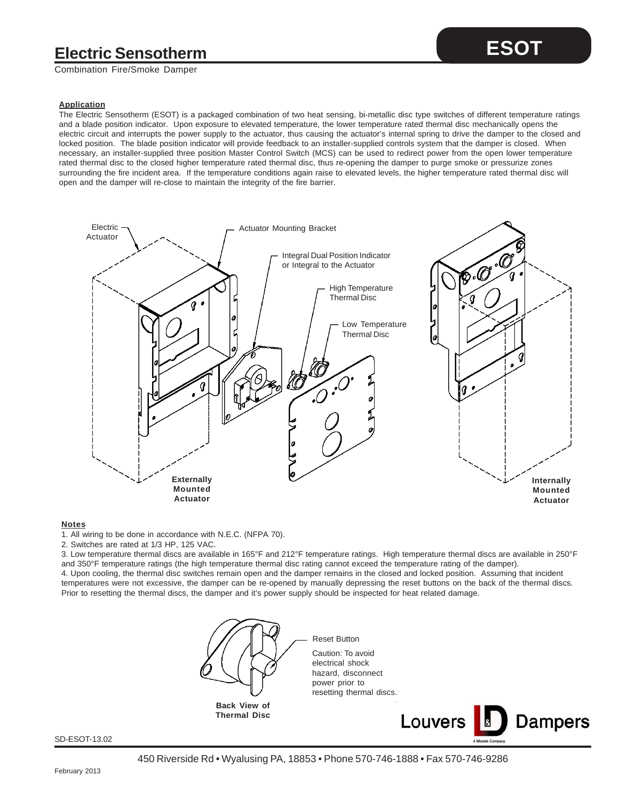## **Electric Sensotherm**

Combination Fire/Smoke Damper

## **Application**

The Electric Sensotherm (ESOT) is a packaged combination of two heat sensing, bi-metallic disc type switches of different temperature ratings and a blade position indicator. Upon exposure to elevated temperature, the lower temperature rated thermal disc mechanically opens the electric circuit and interrupts the power supply to the actuator, thus causing the actuator's internal spring to drive the damper to the closed and locked position. The blade position indicator will provide feedback to an installer-supplied controls system that the damper is closed. When necessary, an installer-supplied three position Master Control Switch (MCS) can be used to redirect power from the open lower temperature rated thermal disc to the closed higher temperature rated thermal disc, thus re-opening the damper to purge smoke or pressurize zones surrounding the fire incident area. If the temperature conditions again raise to elevated levels, the higher temperature rated thermal disc will open and the damper will re-close to maintain the integrity of the fire barrier.



#### **Notes**

1. All wiring to be done in accordance with N.E.C. (NFPA 70).

2. Switches are rated at 1/3 HP, 125 VAC.

3. Low temperature thermal discs are available in 165°F and 212°F temperature ratings. High temperature thermal discs are available in 250°F and 350°F temperature ratings (the high temperature thermal disc rating cannot exceed the temperature rating of the damper). 4. Upon cooling, the thermal disc switches remain open and the damper remains in the closed and locked position. Assuming that incident temperatures were not excessive, the damper can be re-opened by manually depressing the reset buttons on the back of the thermal discs. Prior to resetting the thermal discs, the damper and it's power supply should be inspected for heat related damage.



SD-ESOT-13.02